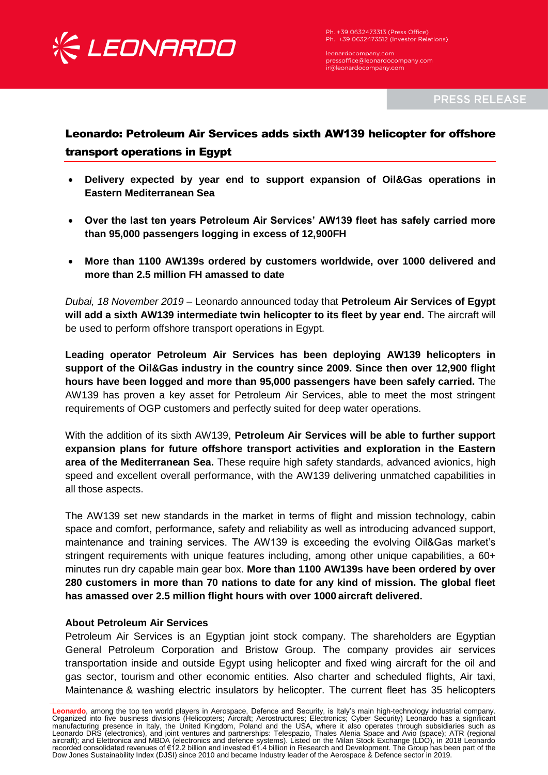

Ph. +39 0632473313 (Press Office) Ph. +39 0632473512 (Investor Relations)

leonardocompany.com pressoffice@leonardocompany.com ir@leonardocompany.com

**PRESS RELEASE** 

## Leonardo: Petroleum Air Services adds sixth AW139 helicopter for offshore transport operations in Egypt

- **Delivery expected by year end to support expansion of Oil&Gas operations in Eastern Mediterranean Sea**
- **Over the last ten years Petroleum Air Services' AW139 fleet has safely carried more than 95,000 passengers logging in excess of 12,900FH**
- **More than 1100 AW139s ordered by customers worldwide, over 1000 delivered and more than 2.5 million FH amassed to date**

*Dubai, 18 November 2019* – Leonardo announced today that **Petroleum Air Services of Egypt will add a sixth AW139 intermediate twin helicopter to its fleet by year end.** The aircraft will be used to perform offshore transport operations in Egypt.

**Leading operator Petroleum Air Services has been deploying AW139 helicopters in support of the Oil&Gas industry in the country since 2009. Since then over 12,900 flight hours have been logged and more than 95,000 passengers have been safely carried.** The AW139 has proven a key asset for Petroleum Air Services, able to meet the most stringent requirements of OGP customers and perfectly suited for deep water operations.

With the addition of its sixth AW139, **Petroleum Air Services will be able to further support expansion plans for future offshore transport activities and exploration in the Eastern area of the Mediterranean Sea.** These require high safety standards, advanced avionics, high speed and excellent overall performance, with the AW139 delivering unmatched capabilities in all those aspects.

The AW139 set new standards in the market in terms of flight and mission technology, cabin space and comfort, performance, safety and reliability as well as introducing advanced support, maintenance and training services. The AW139 is exceeding the evolving Oil&Gas market's stringent requirements with unique features including, among other unique capabilities, a 60+ minutes run dry capable main gear box. **More than 1100 AW139s have been ordered by over 280 customers in more than 70 nations to date for any kind of mission. The global fleet has amassed over 2.5 million flight hours with over 1000 aircraft delivered.**

## **About Petroleum Air Services**

Petroleum Air Services is an Egyptian joint stock company. The shareholders are Egyptian General Petroleum Corporation and Bristow Group. The company provides air services transportation inside and outside Egypt using helicopter and fixed wing aircraft for the oil and gas sector, tourism and other economic entities. Also charter and scheduled flights, Air taxi, Maintenance & washing electric insulators by helicopter. The current fleet has 35 helicopters